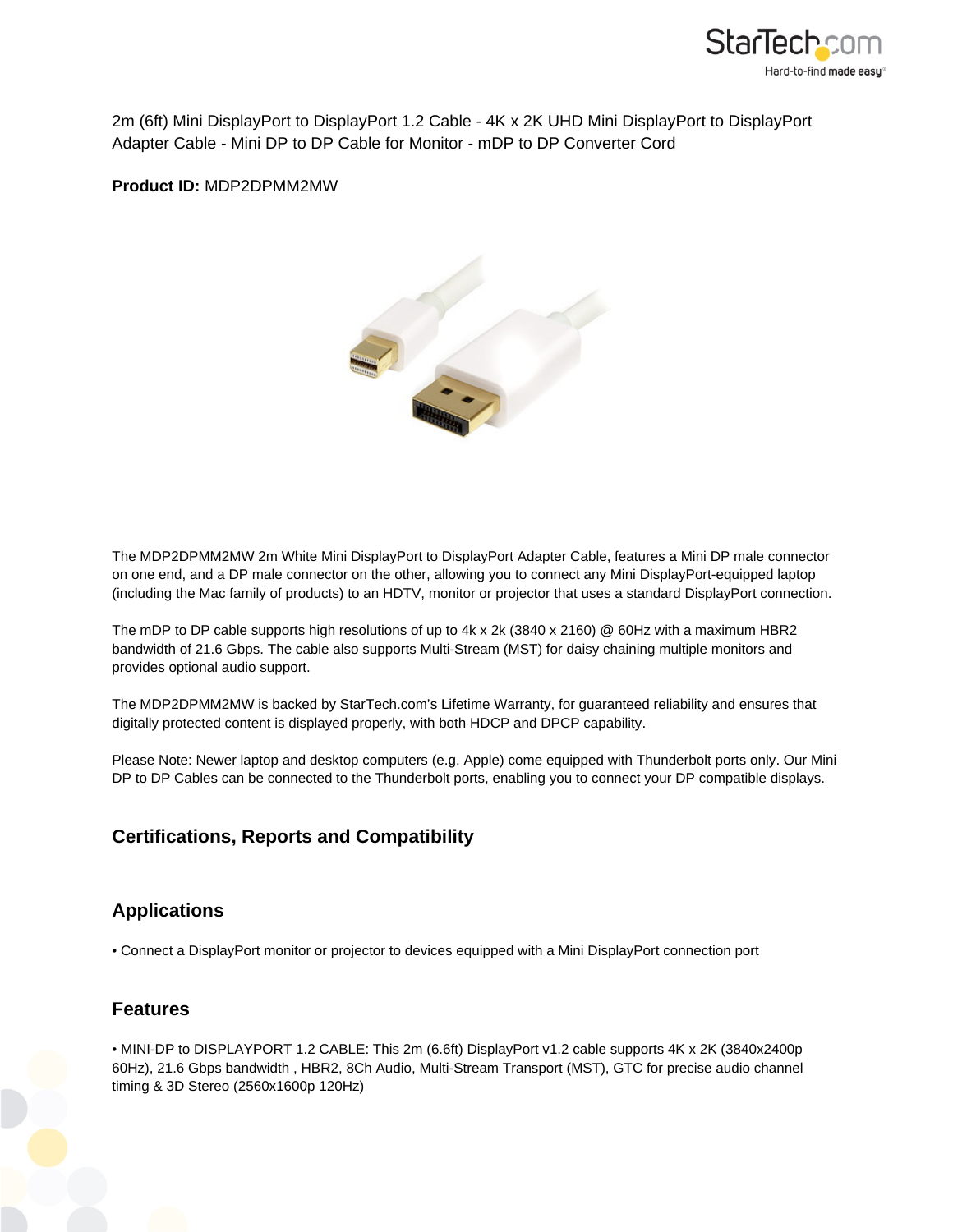

2m (6ft) Mini DisplayPort to DisplayPort 1.2 Cable - 4K x 2K UHD Mini DisplayPort to DisplayPort Adapter Cable - Mini DP to DP Cable for Monitor - mDP to DP Converter Cord

**Product ID:** MDP2DPMM2MW



The MDP2DPMM2MW 2m White Mini DisplayPort to DisplayPort Adapter Cable, features a Mini DP male connector on one end, and a DP male connector on the other, allowing you to connect any Mini DisplayPort-equipped laptop (including the Mac family of products) to an HDTV, monitor or projector that uses a standard DisplayPort connection.

The mDP to DP cable supports high resolutions of up to 4k x 2k (3840 x 2160) @ 60Hz with a maximum HBR2 bandwidth of 21.6 Gbps. The cable also supports Multi-Stream (MST) for daisy chaining multiple monitors and provides optional audio support.

The MDP2DPMM2MW is backed by StarTech.com's Lifetime Warranty, for guaranteed reliability and ensures that digitally protected content is displayed properly, with both HDCP and DPCP capability.

Please Note: Newer laptop and desktop computers (e.g. Apple) come equipped with Thunderbolt ports only. Our Mini DP to DP Cables can be connected to the Thunderbolt ports, enabling you to connect your DP compatible displays.

## **Certifications, Reports and Compatibility**

## **Applications**

• Connect a DisplayPort monitor or projector to devices equipped with a Mini DisplayPort connection port

## **Features**

• MINI-DP to DISPLAYPORT 1.2 CABLE: This 2m (6.6ft) DisplayPort v1.2 cable supports 4K x 2K (3840x2400p 60Hz), 21.6 Gbps bandwidth , HBR2, 8Ch Audio, Multi-Stream Transport (MST), GTC for precise audio channel timing & 3D Stereo (2560x1600p 120Hz)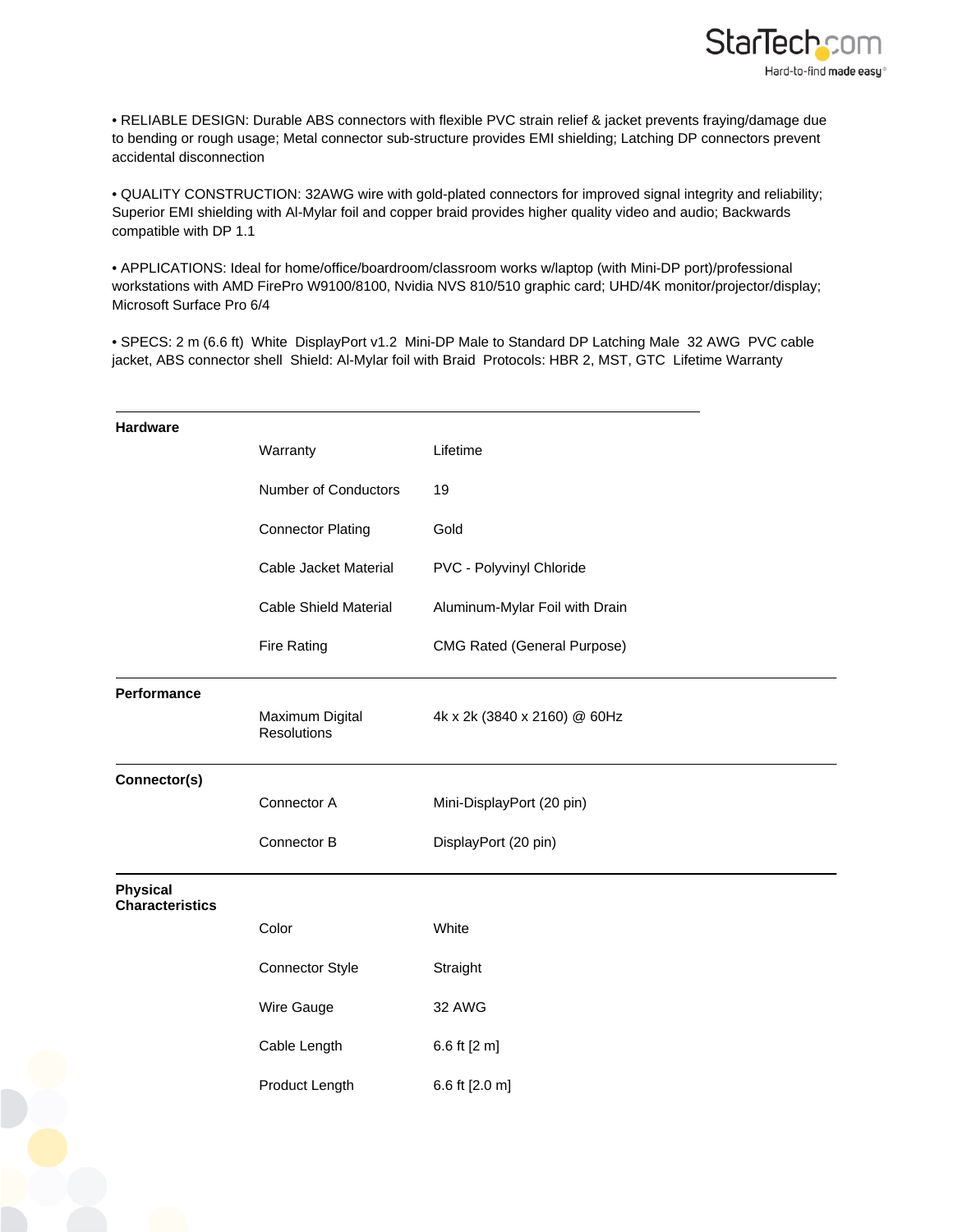

• RELIABLE DESIGN: Durable ABS connectors with flexible PVC strain relief & jacket prevents fraying/damage due to bending or rough usage; Metal connector sub-structure provides EMI shielding; Latching DP connectors prevent accidental disconnection

• QUALITY CONSTRUCTION: 32AWG wire with gold-plated connectors for improved signal integrity and reliability; Superior EMI shielding with Al-Mylar foil and copper braid provides higher quality video and audio; Backwards compatible with DP 1.1

• APPLICATIONS: Ideal for home/office/boardroom/classroom works w/laptop (with Mini-DP port)/professional workstations with AMD FirePro W9100/8100, Nvidia NVS 810/510 graphic card; UHD/4K monitor/projector/display; Microsoft Surface Pro 6/4

• SPECS: 2 m (6.6 ft) White DisplayPort v1.2 Mini-DP Male to Standard DP Latching Male 32 AWG PVC cable jacket, ABS connector shell Shield: Al-Mylar foil with Braid Protocols: HBR 2, MST, GTC Lifetime Warranty

| <b>Hardware</b>                           | Warranty                       | Lifetime                           |
|-------------------------------------------|--------------------------------|------------------------------------|
|                                           | Number of Conductors           | 19                                 |
|                                           | <b>Connector Plating</b>       | Gold                               |
|                                           | <b>Cable Jacket Material</b>   | PVC - Polyvinyl Chloride           |
|                                           | <b>Cable Shield Material</b>   | Aluminum-Mylar Foil with Drain     |
|                                           | <b>Fire Rating</b>             | <b>CMG Rated (General Purpose)</b> |
| Performance                               | Maximum Digital<br>Resolutions | 4k x 2k (3840 x 2160) @ 60Hz       |
| Connector(s)                              |                                |                                    |
|                                           | Connector A                    | Mini-DisplayPort (20 pin)          |
|                                           | Connector B                    | DisplayPort (20 pin)               |
| <b>Physical</b><br><b>Characteristics</b> |                                |                                    |
|                                           | Color                          | White                              |
|                                           | <b>Connector Style</b>         | Straight                           |
|                                           | Wire Gauge                     | 32 AWG                             |
|                                           | Cable Length                   | 6.6 ft [2 m]                       |
|                                           | Product Length                 | 6.6 ft [2.0 m]                     |